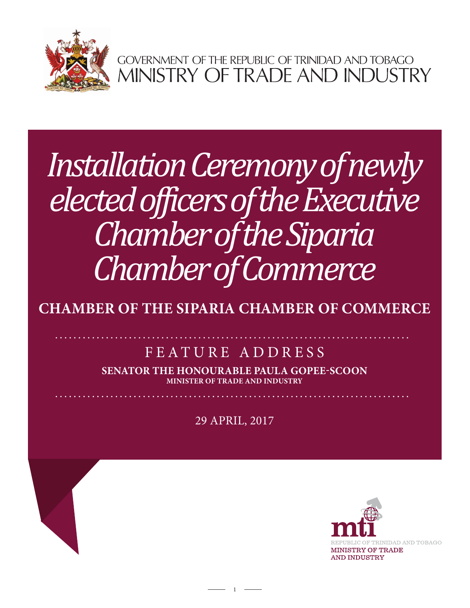

GOVERNMENT OF THE REPUBLIC OF TRINIDAD AND TOBAGO<br>MINISTRY OF TRADE AND INDUSTRY

## *Installation Ceremony of newly elected officers of the Executive Chamber of the Siparia Chamber of Commerce*

**CHAMBER OF THE SIPARIA CHAMBER OF COMMERCE**

## FEATURE ADDRESS

**SENATOR THE HONOURABLE PAULA GOPEE-SCOON MINISTER OF TRADE AND INDUSTRY**

29 APRIL, 2017

 $1 -$ 

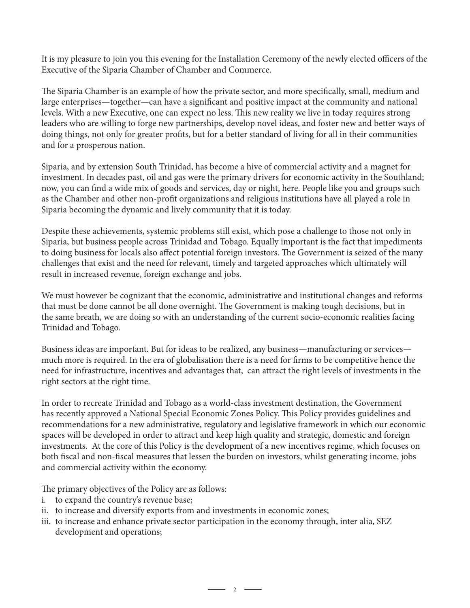It is my pleasure to join you this evening for the Installation Ceremony of the newly elected officers of the Executive of the Siparia Chamber of Chamber and Commerce.

The Siparia Chamber is an example of how the private sector, and more specifically, small, medium and large enterprises—together—can have a significant and positive impact at the community and national levels. With a new Executive, one can expect no less. This new reality we live in today requires strong leaders who are willing to forge new partnerships, develop novel ideas, and foster new and better ways of doing things, not only for greater profits, but for a better standard of living for all in their communities and for a prosperous nation.

Siparia, and by extension South Trinidad, has become a hive of commercial activity and a magnet for investment. In decades past, oil and gas were the primary drivers for economic activity in the Southland; now, you can find a wide mix of goods and services, day or night, here. People like you and groups such as the Chamber and other non-profit organizations and religious institutions have all played a role in Siparia becoming the dynamic and lively community that it is today.

Despite these achievements, systemic problems still exist, which pose a challenge to those not only in Siparia, but business people across Trinidad and Tobago. Equally important is the fact that impediments to doing business for locals also affect potential foreign investors. The Government is seized of the many challenges that exist and the need for relevant, timely and targeted approaches which ultimately will result in increased revenue, foreign exchange and jobs.

We must however be cognizant that the economic, administrative and institutional changes and reforms that must be done cannot be all done overnight. The Government is making tough decisions, but in the same breath, we are doing so with an understanding of the current socio-economic realities facing Trinidad and Tobago.

Business ideas are important. But for ideas to be realized, any business—manufacturing or services much more is required. In the era of globalisation there is a need for firms to be competitive hence the need for infrastructure, incentives and advantages that, can attract the right levels of investments in the right sectors at the right time.

In order to recreate Trinidad and Tobago as a world-class investment destination, the Government has recently approved a National Special Economic Zones Policy. This Policy provides guidelines and recommendations for a new administrative, regulatory and legislative framework in which our economic spaces will be developed in order to attract and keep high quality and strategic, domestic and foreign investments. At the core of this Policy is the development of a new incentives regime, which focuses on both fiscal and non-fiscal measures that lessen the burden on investors, whilst generating income, jobs and commercial activity within the economy.

The primary objectives of the Policy are as follows:

- i. to expand the country's revenue base;
- ii. to increase and diversify exports from and investments in economic zones;
- iii. to increase and enhance private sector participation in the economy through, inter alia, SEZ development and operations;

 $\overline{\phantom{a}}$  2  $\overline{\phantom{a}}$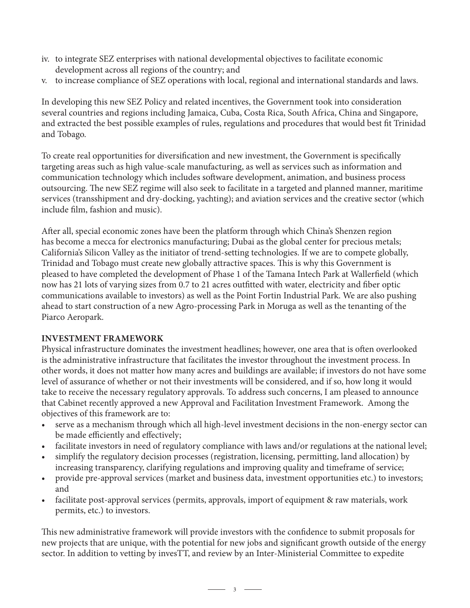- iv. to integrate SEZ enterprises with national developmental objectives to facilitate economic development across all regions of the country; and
- v. to increase compliance of SEZ operations with local, regional and international standards and laws.

In developing this new SEZ Policy and related incentives, the Government took into consideration several countries and regions including Jamaica, Cuba, Costa Rica, South Africa, China and Singapore, and extracted the best possible examples of rules, regulations and procedures that would best fit Trinidad and Tobago.

To create real opportunities for diversification and new investment, the Government is specifically targeting areas such as high value-scale manufacturing, as well as services such as information and communication technology which includes software development, animation, and business process outsourcing. The new SEZ regime will also seek to facilitate in a targeted and planned manner, maritime services (transshipment and dry-docking, yachting); and aviation services and the creative sector (which include film, fashion and music).

After all, special economic zones have been the platform through which China's Shenzen region has become a mecca for electronics manufacturing; Dubai as the global center for precious metals; California's Silicon Valley as the initiator of trend-setting technologies. If we are to compete globally, Trinidad and Tobago must create new globally attractive spaces. This is why this Government is pleased to have completed the development of Phase 1 of the Tamana Intech Park at Wallerfield (which now has 21 lots of varying sizes from 0.7 to 21 acres outfitted with water, electricity and fiber optic communications available to investors) as well as the Point Fortin Industrial Park. We are also pushing ahead to start construction of a new Agro-processing Park in Moruga as well as the tenanting of the Piarco Aeropark.

## **INVESTMENT FRAMEWORK**

Physical infrastructure dominates the investment headlines; however, one area that is often overlooked is the administrative infrastructure that facilitates the investor throughout the investment process. In other words, it does not matter how many acres and buildings are available; if investors do not have some level of assurance of whether or not their investments will be considered, and if so, how long it would take to receive the necessary regulatory approvals. To address such concerns, I am pleased to announce that Cabinet recently approved a new Approval and Facilitation Investment Framework. Among the objectives of this framework are to:

- serve as a mechanism through which all high-level investment decisions in the non-energy sector can be made efficiently and effectively;
- facilitate investors in need of regulatory compliance with laws and/or regulations at the national level;
- simplify the regulatory decision processes (registration, licensing, permitting, land allocation) by increasing transparency, clarifying regulations and improving quality and timeframe of service;
- provide pre-approval services (market and business data, investment opportunities etc.) to investors; and
- facilitate post-approval services (permits, approvals, import of equipment & raw materials, work permits, etc.) to investors.

This new administrative framework will provide investors with the confidence to submit proposals for new projects that are unique, with the potential for new jobs and significant growth outside of the energy sector. In addition to vetting by invesTT, and review by an Inter-Ministerial Committee to expedite

 $\overline{\phantom{1}}$  3  $\overline{\phantom{1}}$